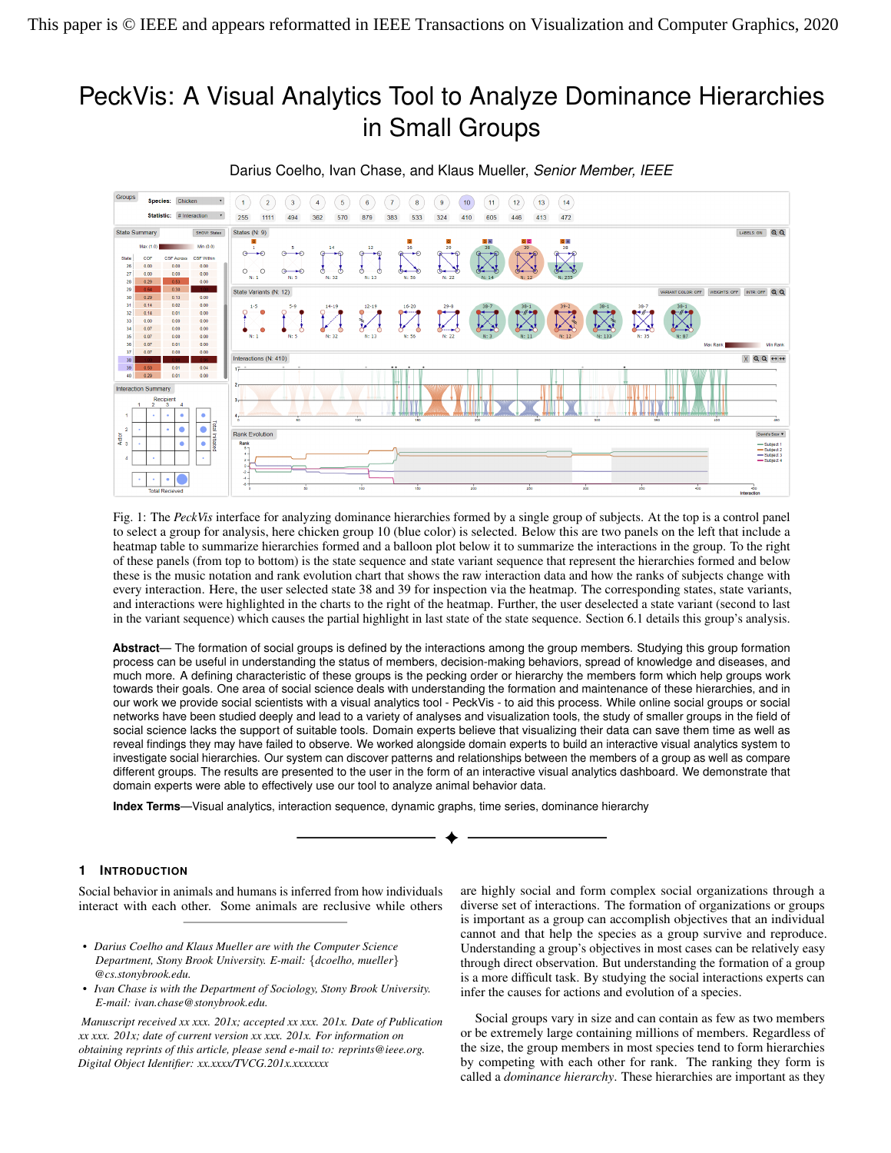# PeckVis: A Visual Analytics Tool to Analyze Dominance Hierarchies in Small Groups



Darius Coelho, Ivan Chase, and Klaus Mueller, *Senior Member, IEEE*

<span id="page-0-0"></span>Fig. 1: The *PeckVis* interface for analyzing dominance hierarchies formed by a single group of subjects. At the top is a control panel to select a group for analysis, here chicken group 10 (blue color) is selected. Below this are two panels on the left that include a heatmap table to summarize hierarchies formed and a balloon plot below it to summarize the interactions in the group. To the right of these panels (from top to bottom) is the state sequence and state variant sequence that represent the hierarchies formed and below these is the music notation and rank evolution chart that shows the raw interaction data and how the ranks of subjects change with every interaction. Here, the user selected state 38 and 39 for inspection via the heatmap. The corresponding states, state variants, and interactions were highlighted in the charts to the right of the heatmap. Further, the user deselected a state variant (second to last in the variant sequence) which causes the partial highlight in last state of the state sequence. Section 6.1 details this group's analysis.

**Abstract**— The formation of social groups is defined by the interactions among the group members. Studying this group formation process can be useful in understanding the status of members, decision-making behaviors, spread of knowledge and diseases, and much more. A defining characteristic of these groups is the pecking order or hierarchy the members form which help groups work towards their goals. One area of social science deals with understanding the formation and maintenance of these hierarchies, and in our work we provide social scientists with a visual analytics tool - PeckVis - to aid this process. While online social groups or social networks have been studied deeply and lead to a variety of analyses and visualization tools, the study of smaller groups in the field of social science lacks the support of suitable tools. Domain experts believe that visualizing their data can save them time as well as reveal findings they may have failed to observe. We worked alongside domain experts to build an interactive visual analytics system to investigate social hierarchies. Our system can discover patterns and relationships between the members of a group as well as compare different groups. The results are presented to the user in the form of an interactive visual analytics dashboard. We demonstrate that domain experts were able to effectively use our tool to analyze animal behavior data.

**Index Terms**—Visual analytics, interaction sequence, dynamic graphs, time series, dominance hierarchy

# **1 INTRODUCTION**

Social behavior in animals and humans is inferred from how individuals interact with each other. Some animals are reclusive while others

*• Ivan Chase is with the Department of Sociology, Stony Brook University. E-mail: ivan.chase@stonybrook.edu.*

*Manuscript received xx xxx. 201x; accepted xx xxx. 201x. Date of Publication xx xxx. 201x; date of current version xx xxx. 201x. For information on obtaining reprints of this article, please send e-mail to: reprints@ieee.org. Digital Object Identifier: xx.xxxx/TVCG.201x.xxxxxxx*

are highly social and form complex social organizations through a diverse set of interactions. The formation of organizations or groups is important as a group can accomplish objectives that an individual cannot and that help the species as a group survive and reproduce. Understanding a group's objectives in most cases can be relatively easy through direct observation. But understanding the formation of a group is a more difficult task. By studying the social interactions experts can infer the causes for actions and evolution of a species.

Social groups vary in size and can contain as few as two members or be extremely large containing millions of members. Regardless of the size, the group members in most species tend to form hierarchies by competing with each other for rank. The ranking they form is called a *dominance hierarchy*. These hierarchies are important as they

*<sup>•</sup> Darius Coelho and Klaus Mueller are with the Computer Science Department, Stony Brook University. E-mail:* {*dcoelho, mueller*} *@cs.stonybrook.edu.*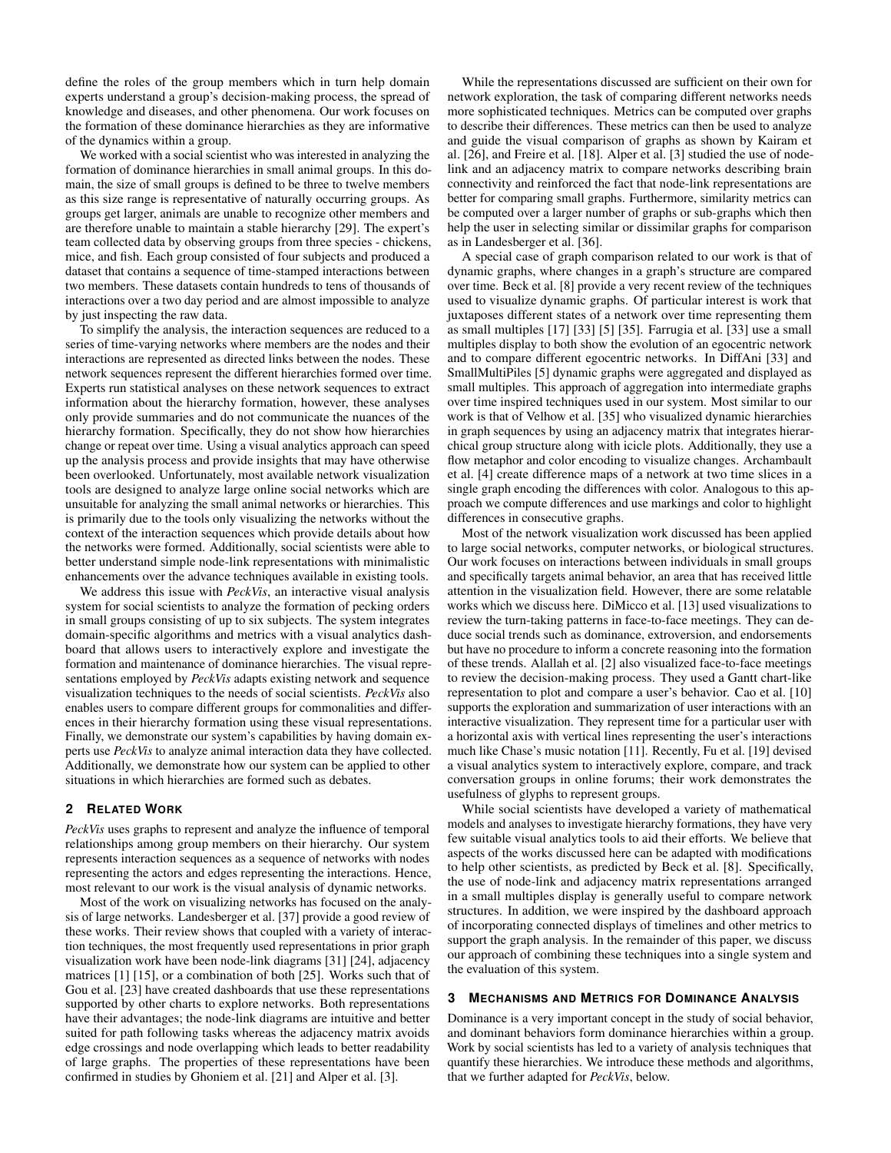define the roles of the group members which in turn help domain experts understand a group's decision-making process, the spread of knowledge and diseases, and other phenomena. Our work focuses on the formation of these dominance hierarchies as they are informative of the dynamics within a group.

We worked with a social scientist who was interested in analyzing the formation of dominance hierarchies in small animal groups. In this domain, the size of small groups is defined to be three to twelve members as this size range is representative of naturally occurring groups. As groups get larger, animals are unable to recognize other members and are therefore unable to maintain a stable hierarchy [29]. The expert's team collected data by observing groups from three species - chickens, mice, and fish. Each group consisted of four subjects and produced a dataset that contains a sequence of time-stamped interactions between two members. These datasets contain hundreds to tens of thousands of interactions over a two day period and are almost impossible to analyze by just inspecting the raw data.

To simplify the analysis, the interaction sequences are reduced to a series of time-varying networks where members are the nodes and their interactions are represented as directed links between the nodes. These network sequences represent the different hierarchies formed over time. Experts run statistical analyses on these network sequences to extract information about the hierarchy formation, however, these analyses only provide summaries and do not communicate the nuances of the hierarchy formation. Specifically, they do not show how hierarchies change or repeat over time. Using a visual analytics approach can speed up the analysis process and provide insights that may have otherwise been overlooked. Unfortunately, most available network visualization tools are designed to analyze large online social networks which are unsuitable for analyzing the small animal networks or hierarchies. This is primarily due to the tools only visualizing the networks without the context of the interaction sequences which provide details about how the networks were formed. Additionally, social scientists were able to better understand simple node-link representations with minimalistic enhancements over the advance techniques available in existing tools.

We address this issue with *PeckVis*, an interactive visual analysis system for social scientists to analyze the formation of pecking orders in small groups consisting of up to six subjects. The system integrates domain-specific algorithms and metrics with a visual analytics dashboard that allows users to interactively explore and investigate the formation and maintenance of dominance hierarchies. The visual representations employed by *PeckVis* adapts existing network and sequence visualization techniques to the needs of social scientists. PeckVis also enables users to compare different groups for commonalities and differences in their hierarchy formation using these visual representations. Finally, we demonstrate our system's capabilities by having domain experts use *PeckVis* to analyze animal interaction data they have collected. Additionally, we demonstrate how our system can be applied to other situations in which hierarchies are formed such as debates.

# 2 RELATED WORK

PeckVis uses graphs to represent and analyze the influence of temporal relationships among group members on their hierarchy. Our system represents interaction sequences as a sequence of networks with nodes representing the actors and edges representing the interactions. Hence, most relevant to our work is the visual analysis of dynamic networks.

Most of the work on visualizing networks has focused on the analysis of large networks. Landesberger et al. [37] provide a good review of these works. Their review shows that coupled with a variety of interaction techniques, the most frequently used representations in prior graph visualization work have been node-link diagrams [31] [24], adjacency matrices [1] [15], or a combination of both [25]. Works such that of Gou et al. [23] have created dashboards that use these representations supported by other charts to explore networks. Both representations have their advantages; the node-link diagrams are intuitive and better suited for path following tasks whereas the adjacency matrix avoids edge crossings and node overlapping which leads to better readability of large graphs. The properties of these representations have been confirmed in studies by Ghoniem et al. [21] and Alper et al. [3].

While the representations discussed are sufficient on their own for network exploration, the task of comparing different networks needs more sophisticated techniques. Metrics can be computed over graphs to describe their differences. These metrics can then be used to analyze and guide the visual comparison of graphs as shown by Kairam et al. [26], and Freire et al. [18]. Alper et al. [3] studied the use of nodelink and an adjacency matrix to compare networks describing brain connectivity and reinforced the fact that node-link representations are better for comparing small graphs. Furthermore, similarity metrics can be computed over a larger number of graphs or sub-graphs which then help the user in selecting similar or dissimilar graphs for comparison as in Landesberger et al. [36].

A special case of graph comparison related to our work is that of dynamic graphs, where changes in a graph's structure are compared over time. Beck et al. [8] provide a very recent review of the techniques used to visualize dynamic graphs. Of particular interest is work that juxtaposes different states of a network over time representing them as small multiples [17] [33] [5] [35]. Farrugia et al. [33] use a small multiples display to both show the evolution of an egocentric network and to compare different egocentric networks. In DiffAni [33] and SmallMultiPiles [5] dynamic graphs were aggregated and displayed as small multiples. This approach of aggregation into intermediate graphs over time inspired techniques used in our system. Most similar to our work is that of Velhow et al. [35] who visualized dynamic hierarchies in graph sequences by using an adjacency matrix that integrates hierarchical group structure along with icicle plots. Additionally, they use a flow metaphor and color encoding to visualize changes. Archambault et al. [4] create difference maps of a network at two time slices in a single graph encoding the differences with color. Analogous to this approach we compute differences and use markings and color to highlight differences in consecutive graphs.

Most of the network visualization work discussed has been applied to large social networks, computer networks, or biological structures. Our work focuses on interactions between individuals in small groups and specifically targets animal behavior, an area that has received little attention in the visualization field. However, there are some relatable works which we discuss here. DiMicco et al. [13] used visualizations to review the turn-taking patterns in face-to-face meetings. They can deduce social trends such as dominance, extroversion, and endorsements but have no procedure to inform a concrete reasoning into the formation of these trends. Alallah et al. [2] also visualized face-to-face meetings to review the decision-making process. They used a Gantt chart-like representation to plot and compare a user's behavior. Cao et al. [10] supports the exploration and summarization of user interactions with an interactive visualization. They represent time for a particular user with a horizontal axis with vertical lines representing the user's interactions much like Chase's music notation [11]. Recently, Fu et al. [19] devised a visual analytics system to interactively explore, compare, and track conversation groups in online forums; their work demonstrates the usefulness of glyphs to represent groups.

While social scientists have developed a variety of mathematical models and analyses to investigate hierarchy formations, they have very few suitable visual analytics tools to aid their efforts. We believe that aspects of the works discussed here can be adapted with modifications to help other scientists, as predicted by Beck et al. [8]. Specifically, the use of node-link and adjacency matrix representations arranged in a small multiples display is generally useful to compare network structures. In addition, we were inspired by the dashboard approach of incorporating connected displays of timelines and other metrics to support the graph analysis. In the remainder of this paper, we discuss our approach of combining these techniques into a single system and the evaluation of this system.

#### 3 MECHANISMS AND METRICS FOR DOMINANCE ANALYSIS

Dominance is a very important concept in the study of social behavior, and dominant behaviors form dominance hierarchies within a group. Work by social scientists has led to a variety of analysis techniques that quantify these hierarchies. We introduce these methods and algorithms, that we further adapted for PeckVis, below.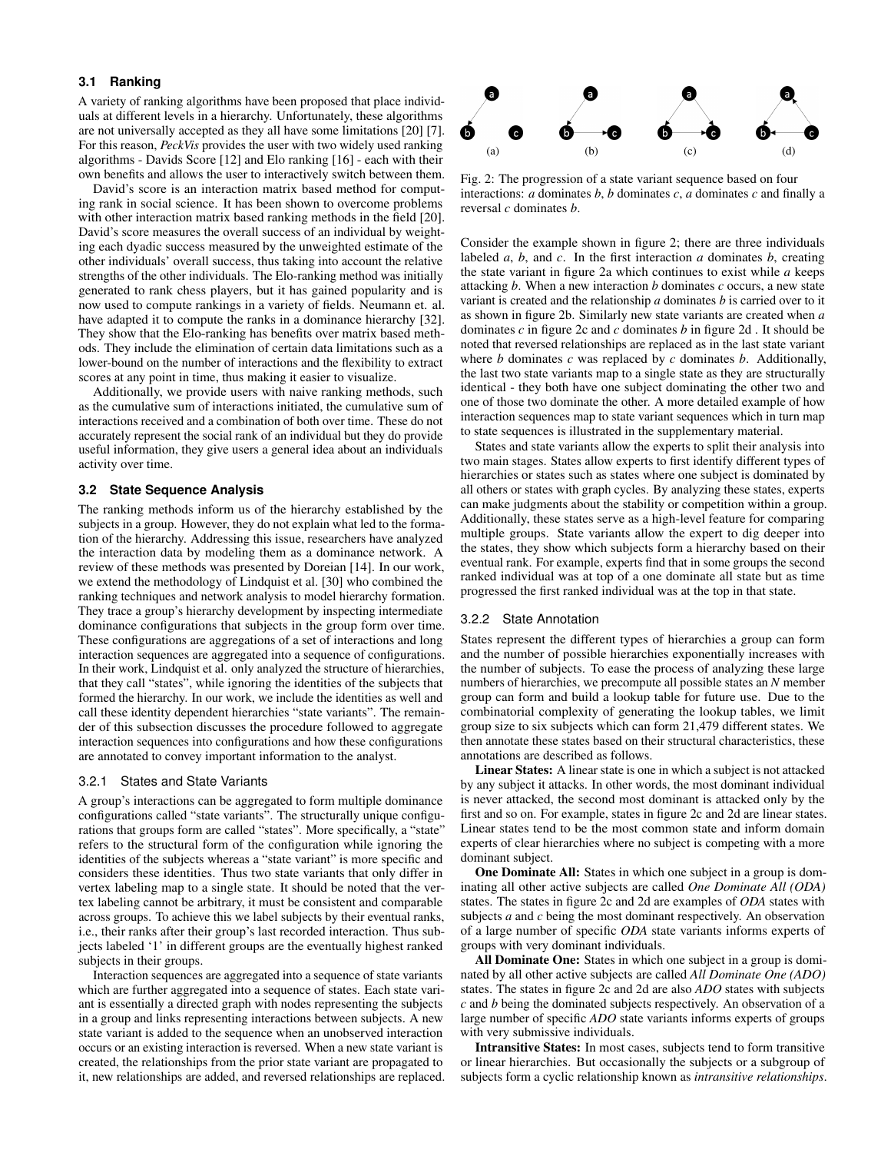# 3.1 Ranking

A variety of ranking algorithms have been proposed that place individuals at different levels in a hierarchy. Unfortunately, these algorithms are not universally accepted as they all have some limitations [20] [7]. For this reason, PeckVis provides the user with two widely used ranking algorithms - Davids Score [12] and Elo ranking [16] - each with their own benefits and allows the user to interactively switch between them.

David's score is an interaction matrix based method for computing rank in social science. It has been shown to overcome problems with other interaction matrix based ranking methods in the field [20]. David's score measures the overall success of an individual by weighting each dyadic success measured by the unweighted estimate of the other individuals' overall success, thus taking into account the relative strengths of the other individuals. The Elo-ranking method was initially generated to rank chess players, but it has gained popularity and is now used to compute rankings in a variety of fields. Neumann et. al. have adapted it to compute the ranks in a dominance hierarchy [32]. They show that the Elo-ranking has benefits over matrix based methods. They include the elimination of certain data limitations such as a lower-bound on the number of interactions and the flexibility to extract scores at any point in time, thus making it easier to visualize.

Additionally, we provide users with naive ranking methods, such as the cumulative sum of interactions initiated, the cumulative sum of interactions received and a combination of both over time. These do not accurately represent the social rank of an individual but they do provide useful information, they give users a general idea about an individuals activity over time.

## 3.2 State Sequence Analysis

The ranking methods inform us of the hierarchy established by the subjects in a group. However, they do not explain what led to the formation of the hierarchy. Addressing this issue, researchers have analyzed the interaction data by modeling them as a dominance network. A review of these methods was presented by Doreian [14]. In our work, we extend the methodology of Lindquist et al. [30] who combined the ranking techniques and network analysis to model hierarchy formation. They trace a group's hierarchy development by inspecting intermediate dominance configurations that subjects in the group form over time. These configurations are aggregations of a set of interactions and long interaction sequences are aggregated into a sequence of configurations. In their work, Lindquist et al. only analyzed the structure of hierarchies, that they call "states", while ignoring the identities of the subjects that formed the hierarchy. In our work, we include the identities as well and call these identity dependent hierarchies "state variants". The remainder of this subsection discusses the procedure followed to aggregate interaction sequences into configurations and how these configurations are annotated to convey important information to the analyst.

## 3.2.1 States and State Variants

A group's interactions can be aggregated to form multiple dominance configurations called "state variants". The structurally unique configurations that groups form are called "states". More specifically, a "state" refers to the structural form of the configuration while ignoring the identities of the subjects whereas a "state variant" is more specific and considers these identities. Thus two state variants that only differ in vertex labeling map to a single state. It should be noted that the vertex labeling cannot be arbitrary, it must be consistent and comparable across groups. To achieve this we label subjects by their eventual ranks, i.e., their ranks after their group's last recorded interaction. Thus subjects labeled '1' in different groups are the eventually highest ranked subjects in their groups.

Interaction sequences are aggregated into a sequence of state variants which are further aggregated into a sequence of states. Each state variant is essentially a directed graph with nodes representing the subjects in a group and links representing interactions between subjects. A new state variant is added to the sequence when an unobserved interaction occurs or an existing interaction is reversed. When a new state variant is created, the relationships from the prior state variant are propagated to it, new relationships are added, and reversed relationships are replaced.



Fig. 2: The progression of a state variant sequence based on four interactions:  $a$  dominates  $b$ ,  $b$  dominates  $c$ ,  $a$  dominates  $c$  and finally a reversal  $c$  dominates  $b$ .

Consider the example shown in figure 2; there are three individuals labeled  $a, b$ , and  $c$ . In the first interaction  $a$  dominates  $b$ , creating the state variant in figure 2a which continues to exist while  $a$  keeps attacking  $b$ . When a new interaction  $b$  dominates  $c$  occurs, a new state variant is created and the relationship  $a$  dominates  $b$  is carried over to it as shown in figure 2b. Similarly new state variants are created when  $a$ dominates  $c$  in figure 2c and  $c$  dominates  $b$  in figure 2d. It should be noted that reversed relationships are replaced as in the last state variant where  $b$  dominates  $c$  was replaced by  $c$  dominates  $b$ . Additionally, the last two state variants map to a single state as they are structurally identical - they both have one subject dominating the other two and one of those two dominate the other. A more detailed example of how interaction sequences map to state variant sequences which in turn map to state sequences is illustrated in the supplementary material.

States and state variants allow the experts to split their analysis into two main stages. States allow experts to first identify different types of hierarchies or states such as states where one subject is dominated by all others or states with graph cycles. By analyzing these states, experts can make judgments about the stability or competition within a group. Additionally, these states serve as a high-level feature for comparing multiple groups. State variants allow the expert to dig deeper into the states, they show which subjects form a hierarchy based on their eventual rank. For example, experts find that in some groups the second ranked individual was at top of a one dominate all state but as time progressed the first ranked individual was at the top in that state.

#### 3.2.2 State Annotation

States represent the different types of hierarchies a group can form and the number of possible hierarchies exponentially increases with the number of subjects. To ease the process of analyzing these large numbers of hierarchies, we precompute all possible states an  $N$  member group can form and build a lookup table for future use. Due to the combinatorial complexity of generating the lookup tables, we limit group size to six subjects which can form 21,479 different states. We then annotate these states based on their structural characteristics, these annotations are described as follows.

**Linear States:** A linear state is one in which a subject is not attacked by any subject it attacks. In other words, the most dominant individual is never attacked, the second most dominant is attacked only by the first and so on. For example, states in figure 2c and 2d are linear states. Linear states tend to be the most common state and inform domain experts of clear hierarchies where no subject is competing with a more dominant subject.

**One Dominate All:** States in which one subject in a group is dominating all other active subjects are called One Dominate All (ODA) states. The states in figure 2c and 2d are examples of ODA states with subjects  $a$  and  $c$  being the most dominant respectively. An observation of a large number of specific ODA state variants informs experts of groups with very dominant individuals.

All Dominate One: States in which one subject in a group is dominated by all other active subjects are called All Dominate One (ADO) states. The states in figure 2c and 2d are also ADO states with subjects  $c$  and  $b$  being the dominated subjects respectively. An observation of a large number of specific ADO state variants informs experts of groups with very submissive individuals.

Intransitive States: In most cases, subjects tend to form transitive or linear hierarchies. But occasionally the subjects or a subgroup of subjects form a cyclic relationship known as *intransitive relationships*.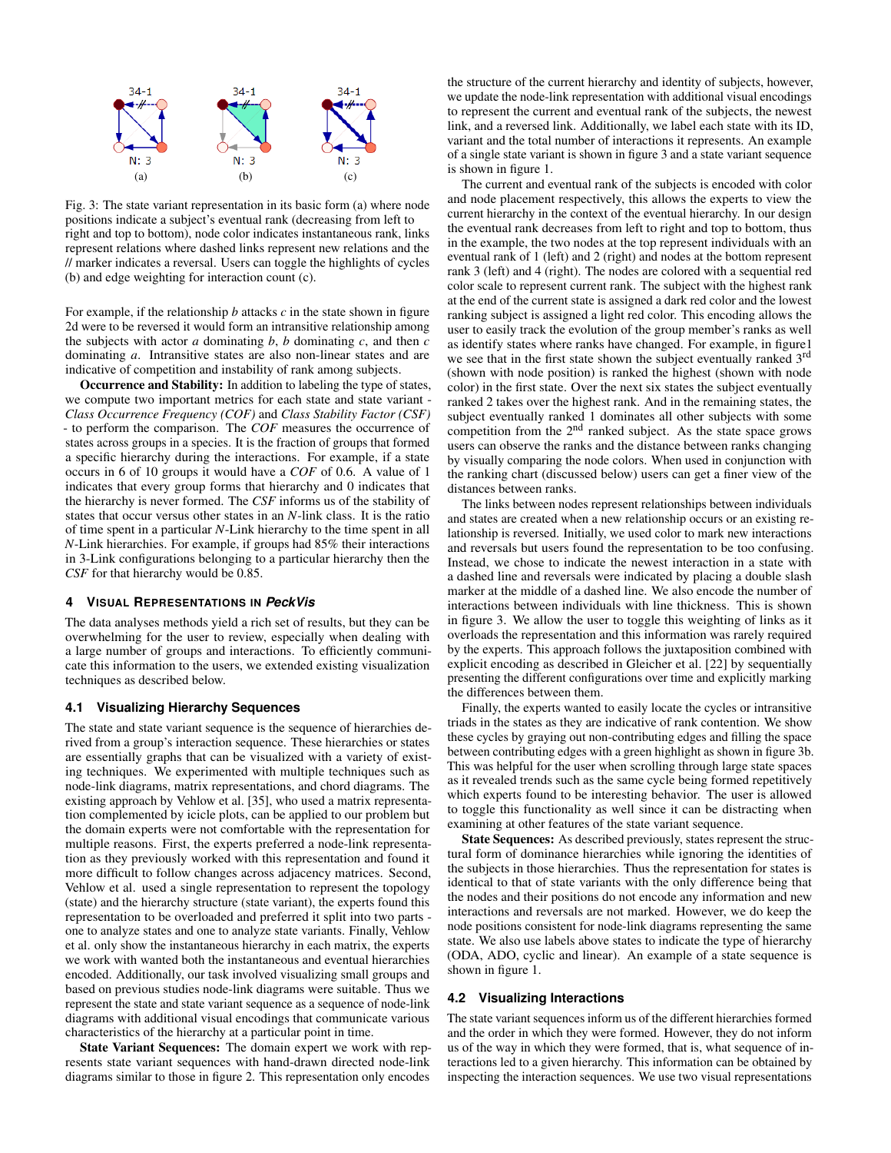

Fig. 3: The state variant representation in its basic form (a) where node positions indicate a subject's eventual rank (decreasing from left to right and top to bottom), node color indicates instantaneous rank, links represent relations where dashed links represent new relations and the // marker indicates a reversal. Users can toggle the highlights of cycles (b) and edge weighting for interaction count (c).

For example, if the relationship  $b$  attacks  $c$  in the state shown in figure 2d were to be reversed it would form an intransitive relationship among the subjects with actor  $a$  dominating  $b$ ,  $b$  dominating  $c$ , and then  $c$ dominating a. Intransitive states are also non-linear states and are indicative of competition and instability of rank among subjects.

Occurrence and Stability: In addition to labeling the type of states, we compute two important metrics for each state and state variant -Class Occurrence Frequency (COF) and Class Stability Factor (CSF) - to perform the comparison. The COF measures the occurrence of states across groups in a species. It is the fraction of groups that formed a specific hierarchy during the interactions. For example, if a state occurs in 6 of 10 groups it would have a COF of 0.6. A value of 1 indicates that every group forms that hierarchy and 0 indicates that the hierarchy is never formed. The CSF informs us of the stability of states that occur versus other states in an N-link class. It is the ratio of time spent in a particular  $N$ -Link hierarchy to the time spent in all N-Link hierarchies. For example, if groups had 85% their interactions in 3-Link configurations belonging to a particular hierarchy then the CSF for that hierarchy would be 0.85.

#### **VISUAL REPRESENTATIONS IN PeckVis** 4

The data analyses methods yield a rich set of results, but they can be overwhelming for the user to review, especially when dealing with a large number of groups and interactions. To efficiently communicate this information to the users, we extended existing visualization techniques as described below.

#### 4.1 Visualizing Hierarchy Sequences

The state and state variant sequence is the sequence of hierarchies derived from a group's interaction sequence. These hierarchies or states are essentially graphs that can be visualized with a variety of existing techniques. We experimented with multiple techniques such as node-link diagrams, matrix representations, and chord diagrams. The existing approach by Vehlow et al. [35], who used a matrix representation complemented by icicle plots, can be applied to our problem but the domain experts were not comfortable with the representation for multiple reasons. First, the experts preferred a node-link representation as they previously worked with this representation and found it more difficult to follow changes across adjacency matrices. Second, Vehlow et al. used a single representation to represent the topology (state) and the hierarchy structure (state variant), the experts found this representation to be overloaded and preferred it split into two parts one to analyze states and one to analyze state variants. Finally, Vehlow et al. only show the instantaneous hierarchy in each matrix, the experts we work with wanted both the instantaneous and eventual hierarchies encoded. Additionally, our task involved visualizing small groups and based on previous studies node-link diagrams were suitable. Thus we represent the state and state variant sequence as a sequence of node-link diagrams with additional visual encodings that communicate various characteristics of the hierarchy at a particular point in time.

State Variant Sequences: The domain expert we work with represents state variant sequences with hand-drawn directed node-link diagrams similar to those in figure 2. This representation only encodes

the structure of the current hierarchy and identity of subjects, however, we update the node-link representation with additional visual encodings to represent the current and eventual rank of the subjects, the newest link, and a reversed link. Additionally, we label each state with its ID, variant and the total number of interactions it represents. An example of a single state variant is shown in figure 3 and a state variant sequence is shown in figure 1.

The current and eventual rank of the subjects is encoded with color and node placement respectively, this allows the experts to view the current hierarchy in the context of the eventual hierarchy. In our design the eventual rank decreases from left to right and top to bottom, thus in the example, the two nodes at the top represent individuals with an eventual rank of 1 (left) and 2 (right) and nodes at the bottom represent rank 3 (left) and 4 (right). The nodes are colored with a sequential red color scale to represent current rank. The subject with the highest rank at the end of the current state is assigned a dark red color and the lowest ranking subject is assigned a light red color. This encoding allows the user to easily track the evolution of the group member's ranks as well as identify states where ranks have changed. For example, in figure 1 we see that in the first state shown the subject eventually ranked 3rd (shown with node position) is ranked the highest (shown with node color) in the first state. Over the next six states the subject eventually ranked 2 takes over the highest rank. And in the remaining states, the subject eventually ranked 1 dominates all other subjects with some competition from the 2<sup>nd</sup> ranked subject. As the state space grows users can observe the ranks and the distance between ranks changing by visually comparing the node colors. When used in conjunction with the ranking chart (discussed below) users can get a finer view of the distances between ranks.

The links between nodes represent relationships between individuals and states are created when a new relationship occurs or an existing relationship is reversed. Initially, we used color to mark new interactions and reversals but users found the representation to be too confusing. Instead, we chose to indicate the newest interaction in a state with a dashed line and reversals were indicated by placing a double slash marker at the middle of a dashed line. We also encode the number of interactions between individuals with line thickness. This is shown in figure 3. We allow the user to toggle this weighting of links as it overloads the representation and this information was rarely required by the experts. This approach follows the juxtaposition combined with explicit encoding as described in Gleicher et al. [22] by sequentially presenting the different configurations over time and explicitly marking the differences between them.

Finally, the experts wanted to easily locate the cycles or intransitive triads in the states as they are indicative of rank contention. We show these cycles by graying out non-contributing edges and filling the space between contributing edges with a green highlight as shown in figure 3b. This was helpful for the user when scrolling through large state spaces as it revealed trends such as the same cycle being formed repetitively which experts found to be interesting behavior. The user is allowed to toggle this functionality as well since it can be distracting when examining at other features of the state variant sequence.

State Sequences: As described previously, states represent the structural form of dominance hierarchies while ignoring the identities of the subjects in those hierarchies. Thus the representation for states is identical to that of state variants with the only difference being that the nodes and their positions do not encode any information and new interactions and reversals are not marked. However, we do keep the node positions consistent for node-link diagrams representing the same state. We also use labels above states to indicate the type of hierarchy (ODA, ADO, cyclic and linear). An example of a state sequence is shown in figure 1.

## 4.2 Visualizing Interactions

The state variant sequences inform us of the different hierarchies formed and the order in which they were formed. However, they do not inform us of the way in which they were formed, that is, what sequence of interactions led to a given hierarchy. This information can be obtained by inspecting the interaction sequences. We use two visual representations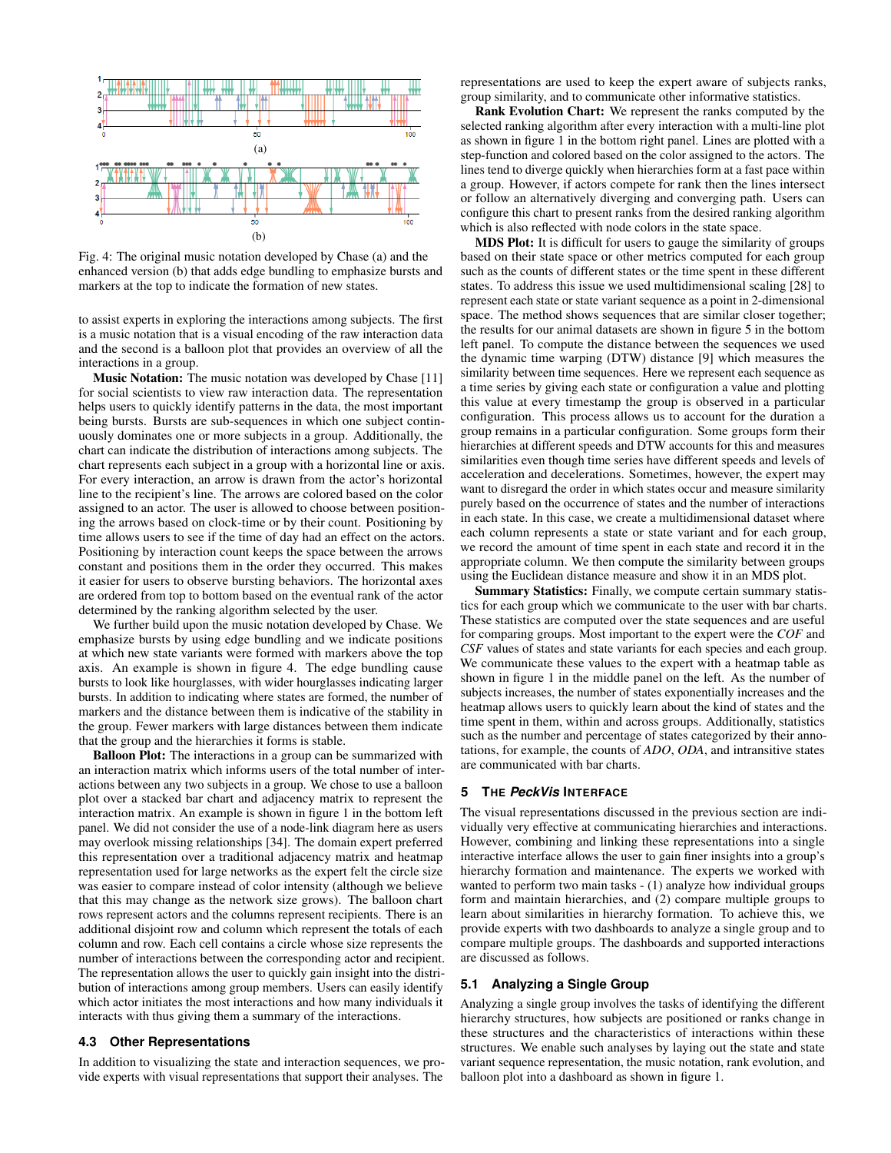

Fig. 4: The original music notation developed by Chase (a) and the enhanced version (b) that adds edge bundling to emphasize bursts and markers at the top to indicate the formation of new states.

to assist experts in exploring the interactions among subjects. The first is a music notation that is a visual encoding of the raw interaction data and the second is a balloon plot that provides an overview of all the interactions in a group.

Music Notation: The music notation was developed by Chase [11] for social scientists to view raw interaction data. The representation helps users to quickly identify patterns in the data, the most important being bursts. Bursts are sub-sequences in which one subject continuously dominates one or more subjects in a group. Additionally, the chart can indicate the distribution of interactions among subjects. The chart represents each subject in a group with a horizontal line or axis. For every interaction, an arrow is drawn from the actor's horizontal line to the recipient's line. The arrows are colored based on the color assigned to an actor. The user is allowed to choose between positioning the arrows based on clock-time or by their count. Positioning by time allows users to see if the time of day had an effect on the actors. Positioning by interaction count keeps the space between the arrows constant and positions them in the order they occurred. This makes it easier for users to observe bursting behaviors. The horizontal axes are ordered from top to bottom based on the eventual rank of the actor determined by the ranking algorithm selected by the user.

We further build upon the music notation developed by Chase. We emphasize bursts by using edge bundling and we indicate positions at which new state variants were formed with markers above the top axis. An example is shown in figure 4. The edge bundling cause bursts to look like hourglasses, with wider hourglasses indicating larger bursts. In addition to indicating where states are formed, the number of markers and the distance between them is indicative of the stability in the group. Fewer markers with large distances between them indicate that the group and the hierarchies it forms is stable.

**Balloon Plot:** The interactions in a group can be summarized with an interaction matrix which informs users of the total number of interactions between any two subjects in a group. We chose to use a balloon plot over a stacked bar chart and adjacency matrix to represent the interaction matrix. An example is shown in figure 1 in the bottom left panel. We did not consider the use of a node-link diagram here as users may overlook missing relationships [34]. The domain expert preferred this representation over a traditional adjacency matrix and heatmap representation used for large networks as the expert felt the circle size was easier to compare instead of color intensity (although we believe that this may change as the network size grows). The balloon chart rows represent actors and the columns represent recipients. There is an additional disjoint row and column which represent the totals of each column and row. Each cell contains a circle whose size represents the number of interactions between the corresponding actor and recipient. The representation allows the user to quickly gain insight into the distribution of interactions among group members. Users can easily identify which actor initiates the most interactions and how many individuals it interacts with thus giving them a summary of the interactions.

# 4.3 Other Representations

In addition to visualizing the state and interaction sequences, we provide experts with visual representations that support their analyses. The

representations are used to keep the expert aware of subjects ranks, group similarity, and to communicate other informative statistics.

Rank Evolution Chart: We represent the ranks computed by the selected ranking algorithm after every interaction with a multi-line plot as shown in figure 1 in the bottom right panel. Lines are plotted with a step-function and colored based on the color assigned to the actors. The lines tend to diverge quickly when hierarchies form at a fast pace within a group. However, if actors compete for rank then the lines intersect or follow an alternatively diverging and converging path. Users can configure this chart to present ranks from the desired ranking algorithm which is also reflected with node colors in the state space.

**MDS Plot:** It is difficult for users to gauge the similarity of groups based on their state space or other metrics computed for each group such as the counts of different states or the time spent in these different states. To address this issue we used multidimensional scaling [28] to represent each state or state variant sequence as a point in 2-dimensional space. The method shows sequences that are similar closer together; the results for our animal datasets are shown in figure 5 in the bottom left panel. To compute the distance between the sequences we used the dynamic time warping (DTW) distance [9] which measures the similarity between time sequences. Here we represent each sequence as a time series by giving each state or configuration a value and plotting this value at every timestamp the group is observed in a particular configuration. This process allows us to account for the duration a group remains in a particular configuration. Some groups form their hierarchies at different speeds and DTW accounts for this and measures similarities even though time series have different speeds and levels of acceleration and decelerations. Sometimes, however, the expert may want to disregard the order in which states occur and measure similarity purely based on the occurrence of states and the number of interactions in each state. In this case, we create a multidimensional dataset where each column represents a state or state variant and for each group, we record the amount of time spent in each state and record it in the appropriate column. We then compute the similarity between groups using the Euclidean distance measure and show it in an MDS plot.

Summary Statistics: Finally, we compute certain summary statistics for each group which we communicate to the user with bar charts. These statistics are computed over the state sequences and are useful for comparing groups. Most important to the expert were the COF and CSF values of states and state variants for each species and each group. We communicate these values to the expert with a heatmap table as shown in figure 1 in the middle panel on the left. As the number of subjects increases, the number of states exponentially increases and the heatmap allows users to quickly learn about the kind of states and the time spent in them, within and across groups. Additionally, statistics such as the number and percentage of states categorized by their annotations, for example, the counts of ADO, ODA, and intransitive states are communicated with bar charts.

# 5 THE PeckVis INTERFACE

The visual representations discussed in the previous section are individually very effective at communicating hierarchies and interactions. However, combining and linking these representations into a single interactive interface allows the user to gain finer insights into a group's hierarchy formation and maintenance. The experts we worked with wanted to perform two main tasks - (1) analyze how individual groups form and maintain hierarchies, and (2) compare multiple groups to learn about similarities in hierarchy formation. To achieve this, we provide experts with two dashboards to analyze a single group and to compare multiple groups. The dashboards and supported interactions are discussed as follows.

# 5.1 Analyzing a Single Group

Analyzing a single group involves the tasks of identifying the different hierarchy structures, how subjects are positioned or ranks change in these structures and the characteristics of interactions within these structures. We enable such analyses by laying out the state and state variant sequence representation, the music notation, rank evolution, and balloon plot into a dashboard as shown in figure 1.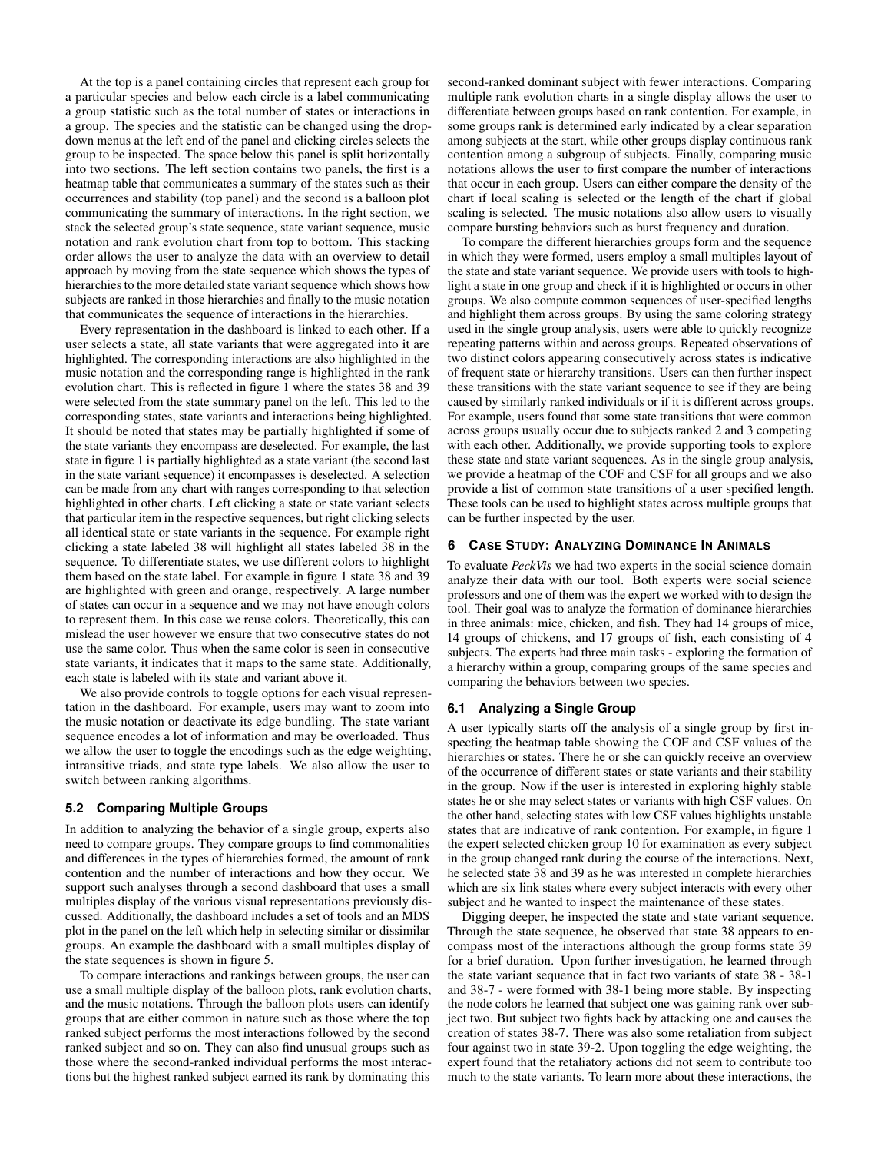At the top is a panel containing circles that represent each group for a particular species and below each circle is a label communicating a group statistic such as the total number of states or interactions in a group. The species and the statistic can be changed using the dropdown menus at the left end of the panel and clicking circles selects the group to be inspected. The space below this panel is split horizontally into two sections. The left section contains two panels, the first is a heatmap table that communicates a summary of the states such as their occurrences and stability (top panel) and the second is a balloon plot communicating the summary of interactions. In the right section, we stack the selected group's state sequence, state variant sequence, music notation and rank evolution chart from top to bottom. This stacking order allows the user to analyze the data with an overview to detail approach by moving from the state sequence which shows the types of hierarchies to the more detailed state variant sequence which shows how subjects are ranked in those hierarchies and finally to the music notation that communicates the sequence of interactions in the hierarchies.

Every representation in the dashboard is linked to each other. If a user selects a state, all state variants that were aggregated into it are highlighted. The corresponding interactions are also highlighted in the music notation and the corresponding range is highlighted in the rank evolution chart. This is reflected in figure 1 where the states 38 and 39 were selected from the state summary panel on the left. This led to the corresponding states, state variants and interactions being highlighted. It should be noted that states may be partially highlighted if some of the state variants they encompass are deselected. For example, the last state in figure 1 is partially highlighted as a state variant (the second last in the state variant sequence) it encompasses is deselected. A selection can be made from any chart with ranges corresponding to that selection highlighted in other charts. Left clicking a state or state variant selects that particular item in the respective sequences, but right clicking selects all identical state or state variants in the sequence. For example right clicking a state labeled 38 will highlight all states labeled 38 in the sequence. To differentiate states, we use different colors to highlight them based on the state label. For example in figure 1 state 38 and 39 are highlighted with green and orange, respectively. A large number of states can occur in a sequence and we may not have enough colors to represent them. In this case we reuse colors. Theoretically, this can mislead the user however we ensure that two consecutive states do not use the same color. Thus when the same color is seen in consecutive state variants, it indicates that it maps to the same state. Additionally, each state is labeled with its state and variant above it.

We also provide controls to toggle options for each visual representation in the dashboard. For example, users may want to zoom into the music notation or deactivate its edge bundling. The state variant sequence encodes a lot of information and may be overloaded. Thus we allow the user to toggle the encodings such as the edge weighting, intransitive triads, and state type labels. We also allow the user to switch between ranking algorithms.

## 5.2 Comparing Multiple Groups

In addition to analyzing the behavior of a single group, experts also need to compare groups. They compare groups to find commonalities and differences in the types of hierarchies formed, the amount of rank contention and the number of interactions and how they occur. We support such analyses through a second dashboard that uses a small multiples display of the various visual representations previously discussed. Additionally, the dashboard includes a set of tools and an MDS plot in the panel on the left which help in selecting similar or dissimilar groups. An example the dashboard with a small multiples display of the state sequences is shown in figure 5.

To compare interactions and rankings between groups, the user can use a small multiple display of the balloon plots, rank evolution charts, and the music notations. Through the balloon plots users can identify groups that are either common in nature such as those where the top ranked subject performs the most interactions followed by the second ranked subject and so on. They can also find unusual groups such as those where the second-ranked individual performs the most interactions but the highest ranked subject earned its rank by dominating this

second-ranked dominant subject with fewer interactions. Comparing multiple rank evolution charts in a single display allows the user to differentiate between groups based on rank contention. For example, in some groups rank is determined early indicated by a clear separation among subjects at the start, while other groups display continuous rank contention among a subgroup of subjects. Finally, comparing music notations allows the user to first compare the number of interactions that occur in each group. Users can either compare the density of the chart if local scaling is selected or the length of the chart if global scaling is selected. The music notations also allow users to visually compare bursting behaviors such as burst frequency and duration.

To compare the different hierarchies groups form and the sequence in which they were formed, users employ a small multiples layout of the state and state variant sequence. We provide users with tools to highlight a state in one group and check if it is highlighted or occurs in other groups. We also compute common sequences of user-specified lengths and highlight them across groups. By using the same coloring strategy used in the single group analysis, users were able to quickly recognize repeating patterns within and across groups. Repeated observations of two distinct colors appearing consecutively across states is indicative of frequent state or hierarchy transitions. Users can then further inspect these transitions with the state variant sequence to see if they are being caused by similarly ranked individuals or if it is different across groups. For example, users found that some state transitions that were common across groups usually occur due to subjects ranked 2 and 3 competing with each other. Additionally, we provide supporting tools to explore these state and state variant sequences. As in the single group analysis, we provide a heatmap of the COF and CSF for all groups and we also provide a list of common state transitions of a user specified length. These tools can be used to highlight states across multiple groups that can be further inspected by the user.

# 6 CASE STUDY: ANALYZING DOMINANCE IN ANIMALS

To evaluate PeckVis we had two experts in the social science domain analyze their data with our tool. Both experts were social science professors and one of them was the expert we worked with to design the tool. Their goal was to analyze the formation of dominance hierarchies in three animals: mice, chicken, and fish. They had 14 groups of mice, 14 groups of chickens, and 17 groups of fish, each consisting of 4 subjects. The experts had three main tasks - exploring the formation of a hierarchy within a group, comparing groups of the same species and comparing the behaviors between two species.

#### 6.1 Analyzing a Single Group

A user typically starts off the analysis of a single group by first inspecting the heatmap table showing the COF and CSF values of the hierarchies or states. There he or she can quickly receive an overview of the occurrence of different states or state variants and their stability in the group. Now if the user is interested in exploring highly stable states he or she may select states or variants with high CSF values. On the other hand, selecting states with low CSF values highlights unstable states that are indicative of rank contention. For example, in figure 1 the expert selected chicken group 10 for examination as every subject in the group changed rank during the course of the interactions. Next, he selected state 38 and 39 as he was interested in complete hierarchies which are six link states where every subject interacts with every other subject and he wanted to inspect the maintenance of these states.

Digging deeper, he inspected the state and state variant sequence. Through the state sequence, he observed that state 38 appears to encompass most of the interactions although the group forms state 39 for a brief duration. Upon further investigation, he learned through the state variant sequence that in fact two variants of state 38 - 38-1 and 38-7 - were formed with 38-1 being more stable. By inspecting the node colors he learned that subject one was gaining rank over subject two. But subject two fights back by attacking one and causes the creation of states 38-7. There was also some retaliation from subject four against two in state 39-2. Upon toggling the edge weighting, the expert found that the retaliatory actions did not seem to contribute too much to the state variants. To learn more about these interactions, the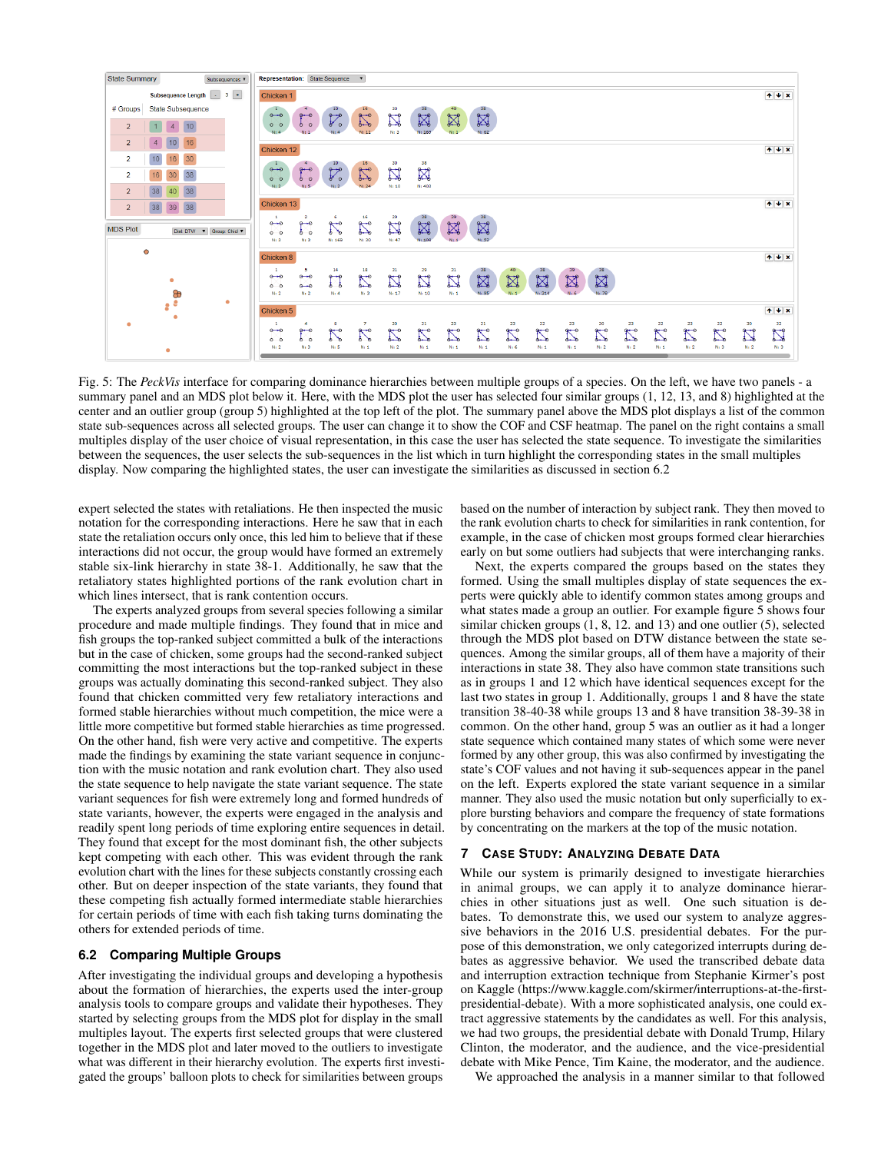

Fig. 5: The PeckVis interface for comparing dominance hierarchies between multiple groups of a species. On the left, we have two panels - a summary panel and an MDS plot below it. Here, with the MDS plot the user has selected four similar groups (1, 12, 13, and 8) highlighted at the center and an outlier group (group 5) highlighted at the top left of the plot. The summary panel above the MDS plot displays a list of the common state sub-sequences across all selected groups. The user can change it to show the COF and CSF heatmap. The panel on the right contains a small multiples display of the user choice of visual representation, in this case the user has selected the state sequence. To investigate the similarities between the sequences, the user selects the sub-sequences in the list which in turn highlight the corresponding states in the small multiples display. Now comparing the highlighted states, the user can investigate the similarities as discussed in section 6.2

expert selected the states with retaliations. He then inspected the music notation for the corresponding interactions. Here he saw that in each state the retaliation occurs only once, this led him to believe that if these interactions did not occur, the group would have formed an extremely stable six-link hierarchy in state 38-1. Additionally, he saw that the retaliatory states highlighted portions of the rank evolution chart in which lines intersect, that is rank contention occurs.

The experts analyzed groups from several species following a similar procedure and made multiple findings. They found that in mice and fish groups the top-ranked subject committed a bulk of the interactions but in the case of chicken, some groups had the second-ranked subject committing the most interactions but the top-ranked subject in these groups was actually dominating this second-ranked subject. They also found that chicken committed very few retaliatory interactions and formed stable hierarchies without much competition, the mice were a little more competitive but formed stable hierarchies as time progressed. On the other hand, fish were very active and competitive. The experts made the findings by examining the state variant sequence in conjunction with the music notation and rank evolution chart. They also used the state sequence to help navigate the state variant sequence. The state variant sequences for fish were extremely long and formed hundreds of state variants, however, the experts were engaged in the analysis and readily spent long periods of time exploring entire sequences in detail. They found that except for the most dominant fish, the other subjects kept competing with each other. This was evident through the rank evolution chart with the lines for these subjects constantly crossing each other. But on deeper inspection of the state variants, they found that these competing fish actually formed intermediate stable hierarchies for certain periods of time with each fish taking turns dominating the others for extended periods of time.

# 6.2 Comparing Multiple Groups

After investigating the individual groups and developing a hypothesis about the formation of hierarchies, the experts used the inter-group analysis tools to compare groups and validate their hypotheses. They started by selecting groups from the MDS plot for display in the small multiples layout. The experts first selected groups that were clustered together in the MDS plot and later moved to the outliers to investigate what was different in their hierarchy evolution. The experts first investigated the groups' balloon plots to check for similarities between groups

based on the number of interaction by subject rank. They then moved to the rank evolution charts to check for similarities in rank contention, for example, in the case of chicken most groups formed clear hierarchies early on but some outliers had subjects that were interchanging ranks.

Next, the experts compared the groups based on the states they formed. Using the small multiples display of state sequences the experts were quickly able to identify common states among groups and what states made a group an outlier. For example figure 5 shows four similar chicken groups  $(1, 8, 12, 12)$  and 13) and one outlier  $(5)$ , selected through the MDS plot based on DTW distance between the state sequences. Among the similar groups, all of them have a majority of their interactions in state 38. They also have common state transitions such as in groups 1 and 12 which have identical sequences except for the last two states in group 1. Additionally, groups 1 and 8 have the state transition 38-40-38 while groups 13 and 8 have transition 38-39-38 in common. On the other hand, group 5 was an outlier as it had a longer state sequence which contained many states of which some were never formed by any other group, this was also confirmed by investigating the state's COF values and not having it sub-sequences appear in the panel on the left. Experts explored the state variant sequence in a similar manner. They also used the music notation but only superficially to explore bursting behaviors and compare the frequency of state formations by concentrating on the markers at the top of the music notation.

## 7 CASE STUDY: ANALYZING DEBATE DATA

While our system is primarily designed to investigate hierarchies in animal groups, we can apply it to analyze dominance hierarchies in other situations just as well. One such situation is debates. To demonstrate this, we used our system to analyze aggressive behaviors in the 2016 U.S. presidential debates. For the purpose of this demonstration, we only categorized interrupts during debates as aggressive behavior. We used the transcribed debate data and interruption extraction technique from Stephanie Kirmer's post on Kaggle (https://www.kaggle.com/skirmer/interruptions-at-the-firstpresidential-debate). With a more sophisticated analysis, one could extract aggressive statements by the candidates as well. For this analysis, we had two groups, the presidential debate with Donald Trump, Hilary Clinton, the moderator, and the audience, and the vice-presidential debate with Mike Pence, Tim Kaine, the moderator, and the audience.

We approached the analysis in a manner similar to that followed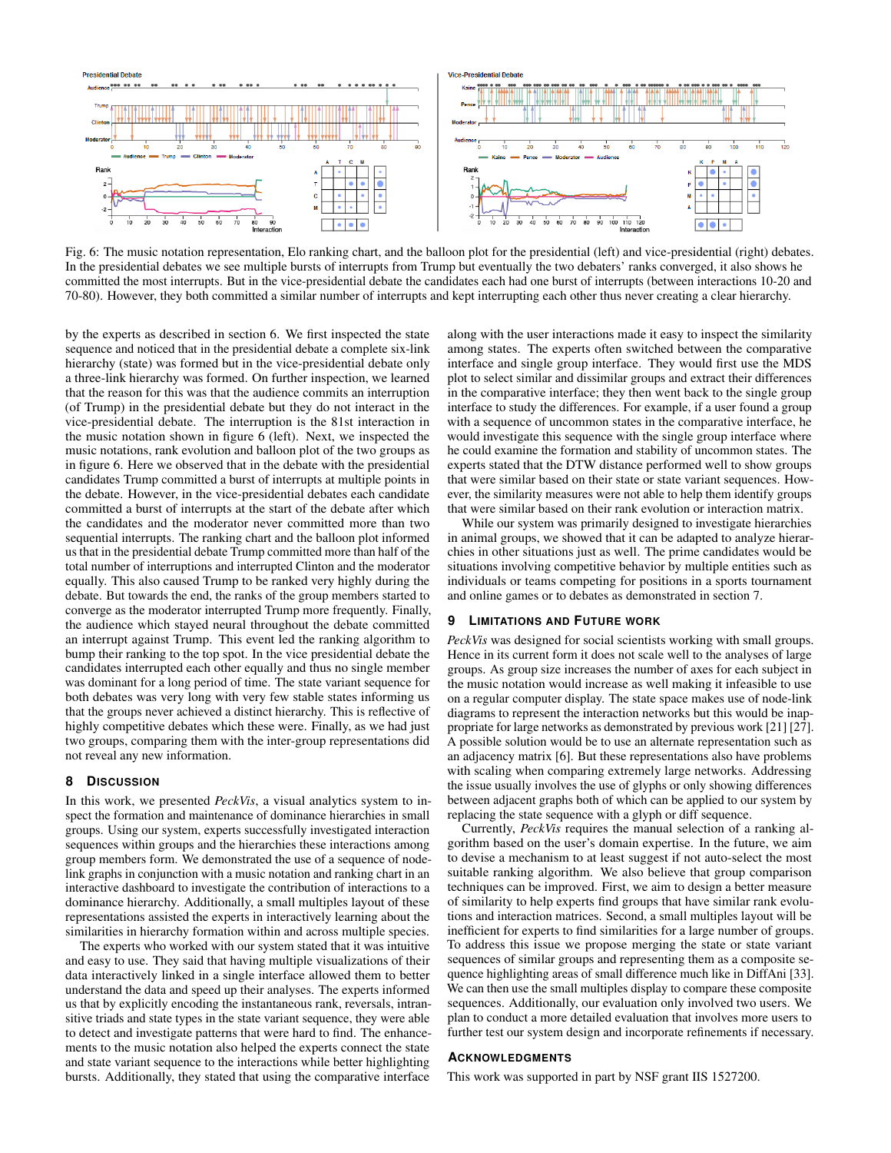

Fig. 6: The music notation representation, Elo ranking chart, and the balloon plot for the presidential (left) and vice-presidential (right) debates. In the presidential debates we see multiple bursts of interrupts from Trump but eventually the two debaters' ranks converged, it also shows he committed the most interrupts. But in the vice-presidential debate the candidates each had one burst of interrupts (between interactions 10-20 and 70-80). However, they both committed a similar number of interrupts and kept interrupting each other thus never creating a clear hierarchy.

by the experts as described in section 6. We first inspected the state sequence and noticed that in the presidential debate a complete six-link hierarchy (state) was formed but in the vice-presidential debate only a three-link hierarchy was formed. On further inspection, we learned that the reason for this was that the audience commits an interruption (of Trump) in the presidential debate but they do not interact in the vice-presidential debate. The interruption is the 81st interaction in the music notation shown in figure 6 (left). Next, we inspected the music notations, rank evolution and balloon plot of the two groups as in figure 6. Here we observed that in the debate with the presidential candidates Trump committed a burst of interrupts at multiple points in the debate. However, in the vice-presidential debates each candidate committed a burst of interrupts at the start of the debate after which the candidates and the moderator never committed more than two sequential interrupts. The ranking chart and the balloon plot informed us that in the presidential debate Trump committed more than half of the total number of interruptions and interrupted Clinton and the moderator equally. This also caused Trump to be ranked very highly during the debate. But towards the end, the ranks of the group members started to converge as the moderator interrupted Trump more frequently. Finally, the audience which stayed neural throughout the debate committed an interrupt against Trump. This event led the ranking algorithm to bump their ranking to the top spot. In the vice presidential debate the candidates interrupted each other equally and thus no single member was dominant for a long period of time. The state variant sequence for both debates was very long with very few stable states informing us that the groups never achieved a distinct hierarchy. This is reflective of highly competitive debates which these were. Finally, as we had just two groups, comparing them with the inter-group representations did not reveal any new information.

#### 8 **DISCUSSION**

In this work, we presented *PeckVis*, a visual analytics system to inspect the formation and maintenance of dominance hierarchies in small groups. Using our system, experts successfully investigated interaction sequences within groups and the hierarchies these interactions among group members form. We demonstrated the use of a sequence of nodelink graphs in conjunction with a music notation and ranking chart in an interactive dashboard to investigate the contribution of interactions to a dominance hierarchy. Additionally, a small multiples layout of these representations assisted the experts in interactively learning about the similarities in hierarchy formation within and across multiple species.

The experts who worked with our system stated that it was intuitive and easy to use. They said that having multiple visualizations of their data interactively linked in a single interface allowed them to better understand the data and speed up their analyses. The experts informed us that by explicitly encoding the instantaneous rank, reversals, intransitive triads and state types in the state variant sequence, they were able to detect and investigate patterns that were hard to find. The enhancements to the music notation also helped the experts connect the state and state variant sequence to the interactions while better highlighting bursts. Additionally, they stated that using the comparative interface

along with the user interactions made it easy to inspect the similarity among states. The experts often switched between the comparative interface and single group interface. They would first use the MDS plot to select similar and dissimilar groups and extract their differences in the comparative interface; they then went back to the single group interface to study the differences. For example, if a user found a group with a sequence of uncommon states in the comparative interface, he would investigate this sequence with the single group interface where he could examine the formation and stability of uncommon states. The experts stated that the DTW distance performed well to show groups that were similar based on their state or state variant sequences. However, the similarity measures were not able to help them identify groups that were similar based on their rank evolution or interaction matrix.

While our system was primarily designed to investigate hierarchies in animal groups, we showed that it can be adapted to analyze hierarchies in other situations just as well. The prime candidates would be situations involving competitive behavior by multiple entities such as individuals or teams competing for positions in a sports tournament and online games or to debates as demonstrated in section 7.

# **LIMITATIONS AND FUTURE WORK**

PeckVis was designed for social scientists working with small groups. Hence in its current form it does not scale well to the analyses of large groups. As group size increases the number of axes for each subject in the music notation would increase as well making it infeasible to use on a regular computer display. The state space makes use of node-link diagrams to represent the interaction networks but this would be inappropriate for large networks as demonstrated by previous work [21] [27]. A possible solution would be to use an alternate representation such as an adjacency matrix [6]. But these representations also have problems with scaling when comparing extremely large networks. Addressing the issue usually involves the use of glyphs or only showing differences between adjacent graphs both of which can be applied to our system by replacing the state sequence with a glyph or diff sequence.

Currently, *PeckVis* requires the manual selection of a ranking algorithm based on the user's domain expertise. In the future, we aim to devise a mechanism to at least suggest if not auto-select the most suitable ranking algorithm. We also believe that group comparison techniques can be improved. First, we aim to design a better measure of similarity to help experts find groups that have similar rank evolutions and interaction matrices. Second, a small multiples layout will be inefficient for experts to find similarities for a large number of groups. To address this issue we propose merging the state or state variant sequences of similar groups and representing them as a composite sequence highlighting areas of small difference much like in DiffAni [33]. We can then use the small multiples display to compare these composite sequences. Additionally, our evaluation only involved two users. We plan to conduct a more detailed evaluation that involves more users to further test our system design and incorporate refinements if necessary.

# **ACKNOWLEDGMENTS**

This work was supported in part by NSF grant IIS 1527200.